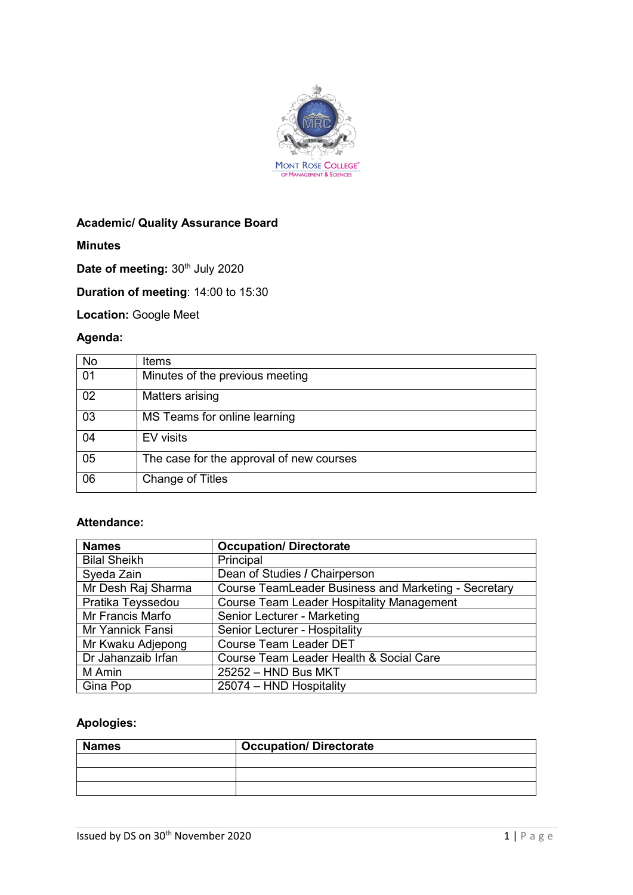

# **Academic/ Quality Assurance Board**

**Minutes**

Date of meeting: 30<sup>th</sup> July 2020

**Duration of meeting**: 14:00 to 15:30

**Location:** Google Meet

# **Agenda:**

| <b>No</b> | Items                                    |
|-----------|------------------------------------------|
| 01        | Minutes of the previous meeting          |
| 02        | Matters arising                          |
| 03        | MS Teams for online learning             |
| 04        | EV visits                                |
| 05        | The case for the approval of new courses |
| 06        | <b>Change of Titles</b>                  |

#### **Attendance:**

| <b>Names</b>        | <b>Occupation/Directorate</b>                               |
|---------------------|-------------------------------------------------------------|
| <b>Bilal Sheikh</b> | Principal                                                   |
| Syeda Zain          | Dean of Studies / Chairperson                               |
| Mr Desh Raj Sharma  | <b>Course TeamLeader Business and Marketing - Secretary</b> |
| Pratika Teyssedou   | <b>Course Team Leader Hospitality Management</b>            |
| Mr Francis Marfo    | Senior Lecturer - Marketing                                 |
| Mr Yannick Fansi    | Senior Lecturer - Hospitality                               |
| Mr Kwaku Adjepong   | <b>Course Team Leader DET</b>                               |
| Dr Jahanzaib Irfan  | Course Team Leader Health & Social Care                     |
| M Amin              | 25252 - HND Bus MKT                                         |
| Gina Pop            | 25074 - HND Hospitality                                     |

# **Apologies:**

| <b>Names</b> | <b>Occupation/Directorate</b> |
|--------------|-------------------------------|
|              |                               |
|              |                               |
|              |                               |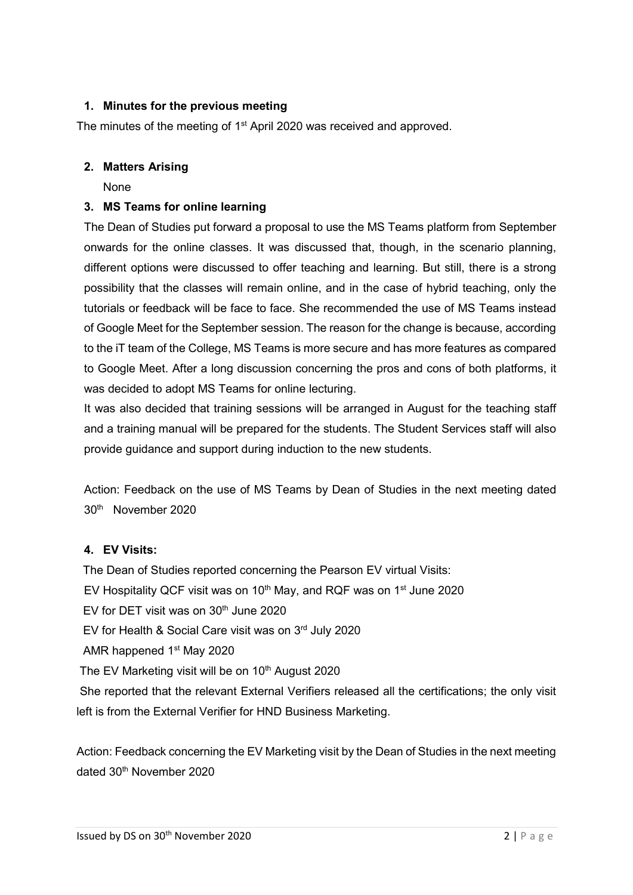# **1. Minutes for the previous meeting**

The minutes of the meeting of 1<sup>st</sup> April 2020 was received and approved.

#### **2. Matters Arising**

None

## **3. MS Teams for online learning**

The Dean of Studies put forward a proposal to use the MS Teams platform from September onwards for the online classes. It was discussed that, though, in the scenario planning, different options were discussed to offer teaching and learning. But still, there is a strong possibility that the classes will remain online, and in the case of hybrid teaching, only the tutorials or feedback will be face to face. She recommended the use of MS Teams instead of Google Meet for the September session. The reason for the change is because, according to the iT team of the College, MS Teams is more secure and has more features as compared to Google Meet. After a long discussion concerning the pros and cons of both platforms, it was decided to adopt MS Teams for online lecturing.

It was also decided that training sessions will be arranged in August for the teaching staff and a training manual will be prepared for the students. The Student Services staff will also provide guidance and support during induction to the new students.

Action: Feedback on the use of MS Teams by Dean of Studies in the next meeting dated 30th November 2020

#### **4. EV Visits:**

The Dean of Studies reported concerning the Pearson EV virtual Visits: EV Hospitality QCF visit was on 10<sup>th</sup> May, and RQF was on 1<sup>st</sup> June 2020 EV for DET visit was on 30<sup>th</sup> June 2020 EV for Health & Social Care visit was on 3rd July 2020 AMR happened 1<sup>st</sup> May 2020 The EV Marketing visit will be on  $10<sup>th</sup>$  August 2020 She reported that the relevant External Verifiers released all the certifications; the only visit left is from the External Verifier for HND Business Marketing.

Action: Feedback concerning the EV Marketing visit by the Dean of Studies in the next meeting dated 30th November 2020